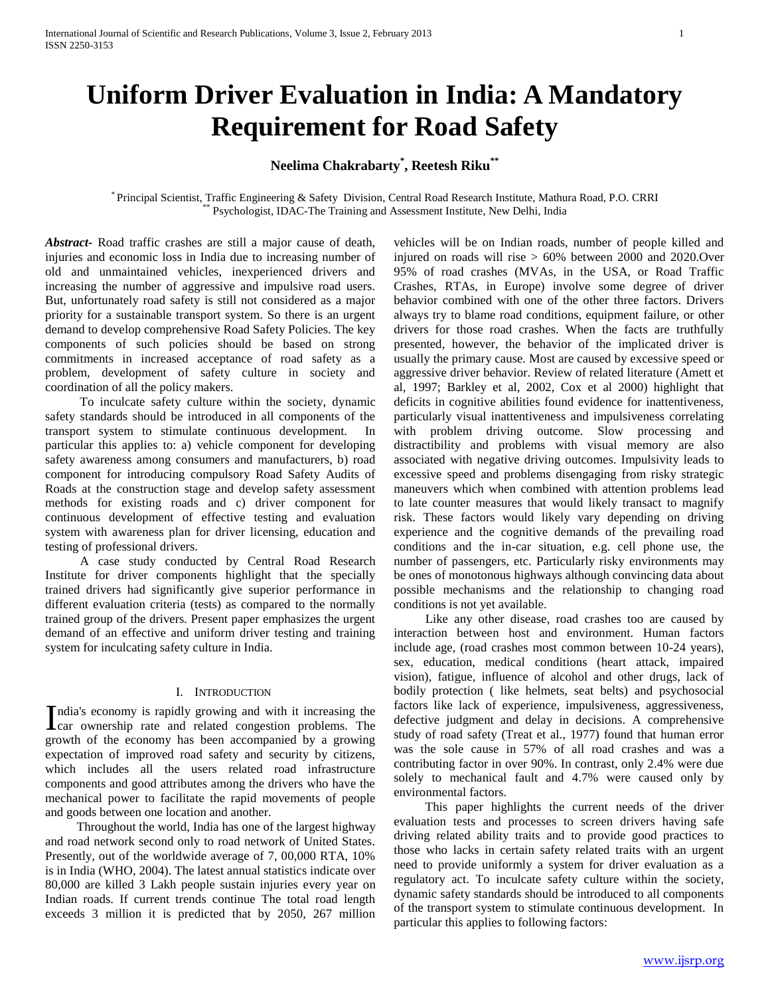# **Uniform Driver Evaluation in India: A Mandatory Requirement for Road Safety**

## **Neelima Chakrabarty\* , Reetesh Riku\*\***

\* Principal Scientist, Traffic Engineering & Safety Division, Central Road Research Institute, Mathura Road, P.O. CRRI Psychologist, IDAC-The Training and Assessment Institute, New Delhi, India

*Abstract***-** Road traffic crashes are still a major cause of death, injuries and economic loss in India due to increasing number of old and unmaintained vehicles, inexperienced drivers and increasing the number of aggressive and impulsive road users. But, unfortunately road safety is still not considered as a major priority for a sustainable transport system. So there is an urgent demand to develop comprehensive Road Safety Policies. The key components of such policies should be based on strong commitments in increased acceptance of road safety as a problem, development of safety culture in society and coordination of all the policy makers.

 To inculcate safety culture within the society, dynamic safety standards should be introduced in all components of the transport system to stimulate continuous development. In particular this applies to: a) vehicle component for developing safety awareness among consumers and manufacturers, b) road component for introducing compulsory Road Safety Audits of Roads at the construction stage and develop safety assessment methods for existing roads and c) driver component for continuous development of effective testing and evaluation system with awareness plan for driver licensing, education and testing of professional drivers.

 A case study conducted by Central Road Research Institute for driver components highlight that the specially trained drivers had significantly give superior performance in different evaluation criteria (tests) as compared to the normally trained group of the drivers. Present paper emphasizes the urgent demand of an effective and uniform driver testing and training system for inculcating safety culture in India.

#### I. INTRODUCTION

ndia's economy is rapidly growing and with it increasing the India's economy is rapidly growing and with it increasing the car ownership rate and related congestion problems. The growth of the economy has been accompanied by a growing expectation of improved road safety and security by citizens, which includes all the users related road infrastructure components and good attributes among the drivers who have the mechanical power to facilitate the rapid movements of people and goods between one location and another.

 Throughout the world, India has one of the largest highway and road network second only to road network of United States. Presently, out of the worldwide average of 7, 00,000 RTA, 10% is in India (WHO, 2004). The latest annual statistics indicate over 80,000 are killed 3 Lakh people sustain injuries every year on Indian roads. If current trends continue The total road length exceeds 3 million it is predicted that by 2050, 267 million vehicles will be on Indian roads, number of people killed and injured on roads will rise > 60% between 2000 and 2020.Over 95% of road crashes (MVAs, in the USA, or Road Traffic Crashes, RTAs, in Europe) involve some degree of driver behavior combined with one of the other three factors. Drivers always try to blame road conditions, equipment failure, or other drivers for those road crashes. When the facts are truthfully presented, however, the behavior of the implicated driver is usually the primary cause. Most are caused by excessive speed or aggressive driver behavior. Review of related literature (Amett et al, 1997; Barkley et al, 2002, Cox et al 2000) highlight that deficits in cognitive abilities found evidence for inattentiveness, particularly visual inattentiveness and impulsiveness correlating with problem driving outcome. Slow processing and distractibility and problems with visual memory are also associated with negative driving outcomes. Impulsivity leads to excessive speed and problems disengaging from risky strategic maneuvers which when combined with attention problems lead to late counter measures that would likely transact to magnify risk. These factors would likely vary depending on driving experience and the cognitive demands of the prevailing road conditions and the in-car situation, e.g. cell phone use, the number of passengers, etc. Particularly risky environments may be ones of monotonous highways although convincing data about possible mechanisms and the relationship to changing road conditions is not yet available.

 Like any other disease, road crashes too are caused by interaction between host and environment. Human factors include age, (road crashes most common between 10-24 years), sex, education, medical conditions (heart attack, impaired vision), fatigue, influence of alcohol and other drugs, lack of bodily protection ( like helmets, seat belts) and psychosocial factors like lack of experience, impulsiveness, aggressiveness, defective judgment and delay in decisions. A comprehensive study of road safety (Treat et al., 1977) found that human error was the sole cause in 57% of all road crashes and was a contributing factor in over 90%. In contrast, only 2.4% were due solely to mechanical fault and 4.7% were caused only by environmental factors.

 This paper highlights the current needs of the driver evaluation tests and processes to screen drivers having safe driving related ability traits and to provide good practices to those who lacks in certain safety related traits with an urgent need to provide uniformly a system for driver evaluation as a regulatory act. To inculcate safety culture within the society, dynamic safety standards should be introduced to all components of the transport system to stimulate continuous development. In particular this applies to following factors: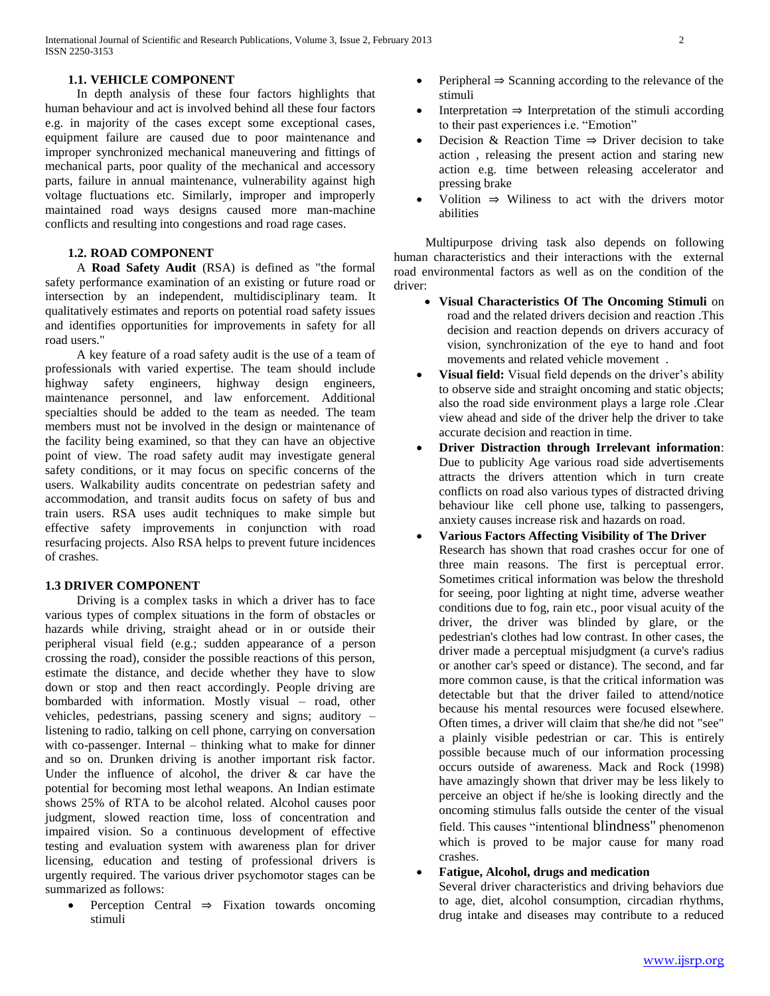## **1.1. VEHICLE COMPONENT**

 In depth analysis of these four factors highlights that human behaviour and act is involved behind all these four factors e.g. in majority of the cases except some exceptional cases, equipment failure are caused due to poor maintenance and improper synchronized mechanical maneuvering and fittings of mechanical parts, poor quality of the mechanical and accessory parts, failure in annual maintenance, vulnerability against high voltage fluctuations etc. Similarly, improper and improperly maintained road ways designs caused more man-machine conflicts and resulting into congestions and road rage cases.

### **1.2. ROAD COMPONENT**

 A **Road Safety Audit** (RSA) is defined as "the formal safety performance examination of an existing or future road or intersection by an independent, multidisciplinary team. It qualitatively estimates and reports on potential road safety issues and identifies opportunities for improvements in safety for all road users."

 A key feature of a road safety audit is the use of a team of professionals with varied expertise. The team should include highway safety engineers, highway design engineers, maintenance personnel, and law enforcement. Additional specialties should be added to the team as needed. The team members must not be involved in the design or maintenance of the facility being examined, so that they can have an objective point of view. The road safety audit may investigate general safety conditions, or it may focus on specific concerns of the users. Walkability audits concentrate on pedestrian safety and accommodation, and transit audits focus on safety of bus and train users. RSA uses audit techniques to make simple but effective safety improvements in conjunction with road resurfacing projects. Also RSA helps to prevent future incidences of crashes.

#### **1.3 DRIVER COMPONENT**

 Driving is a complex tasks in which a driver has to face various types of complex situations in the form of obstacles or hazards while driving, straight ahead or in or outside their peripheral visual field (e.g.; sudden appearance of a person crossing the road), consider the possible reactions of this person, estimate the distance, and decide whether they have to slow down or stop and then react accordingly. People driving are bombarded with information. Mostly visual – road, other vehicles, pedestrians, passing scenery and signs; auditory – listening to radio, talking on cell phone, carrying on conversation with co-passenger. Internal – thinking what to make for dinner and so on. Drunken driving is another important risk factor. Under the influence of alcohol, the driver & car have the potential for becoming most lethal weapons. An Indian estimate shows 25% of RTA to be alcohol related. Alcohol causes poor judgment, slowed reaction time, loss of concentration and impaired vision. So a continuous development of effective testing and evaluation system with awareness plan for driver licensing, education and testing of professional drivers is urgently required. The various driver psychomotor stages can be summarized as follows:

 Perception Central ⇒ Fixation towards oncoming stimuli

- Peripheral ⇒ Scanning according to the relevance of the stimuli
- Interpretation ⇒ Interpretation of the stimuli according to their past experiences i.e. "Emotion"
- Decision & Reaction Time  $\Rightarrow$  Driver decision to take action , releasing the present action and staring new action e.g. time between releasing accelerator and pressing brake
- Volition ⇒ Wiliness to act with the drivers motor abilities

 Multipurpose driving task also depends on following human characteristics and their interactions with the external road environmental factors as well as on the condition of the driver:

- **Visual Characteristics Of The Oncoming Stimuli** on road and the related drivers decision and reaction .This decision and reaction depends on drivers accuracy of vision, synchronization of the eye to hand and foot movements and related vehicle movement .
- **Visual field:** Visual field depends on the driver's ability to observe side and straight oncoming and static objects; also the road side environment plays a large role .Clear view ahead and side of the driver help the driver to take accurate decision and reaction in time.
- **Driver Distraction through Irrelevant information**: Due to publicity Age various road side advertisements attracts the drivers attention which in turn create conflicts on road also various types of distracted driving behaviour like cell phone use, talking to passengers, anxiety causes increase risk and hazards on road.
- **Various Factors Affecting Visibility of The Driver**  Research has shown that road crashes occur for one of three main reasons. The first is perceptual error. Sometimes critical information was below the threshold for seeing, poor lighting at night time, adverse weather conditions due to fog, rain etc., poor visual acuity of the driver, the driver was blinded by glare, or the pedestrian's clothes had low contrast. In other cases, the driver made a perceptual misjudgment (a curve's radius or another car's speed or distance). The second, and far more common cause, is that the critical information was detectable but that the driver failed to attend/notice because his mental resources were focused elsewhere. Often times, a driver will claim that she/he did not "see" a plainly visible pedestrian or car. This is entirely possible because much of our information processing occurs outside of awareness. Mack and Rock (1998) have amazingly shown that driver may be less likely to perceive an object if he/she is looking directly and the oncoming stimulus falls outside the center of the visual field. This causes "intentional [blindness"](http://www.visualexpert.com/Resources/inattentionalblindness.html) phenomenon which is proved to be major cause for many road crashes.

## **Fatigue, Alcohol, drugs and medication**

Several driver characteristics and driving behaviors due to age, diet, alcohol consumption, circadian rhythms, drug intake and diseases may contribute to a reduced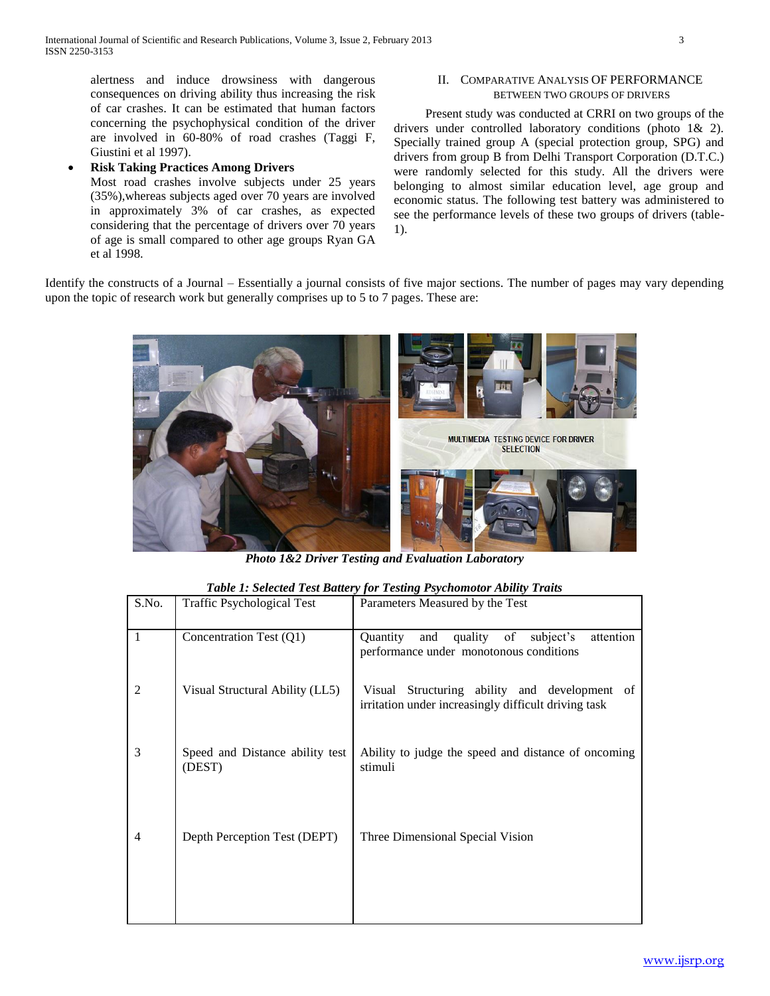alertness and induce drowsiness with dangerous consequences on driving ability thus increasing the risk of car crashes. It can be estimated that human factors concerning the psychophysical condition of the driver are involved in 60-80% of road crashes (Taggi F, Giustini et al 1997).

## **Risk Taking Practices Among Drivers**

Most road crashes involve subjects under 25 years (35%),whereas subjects aged over 70 years are involved in approximately 3% of car crashes, as expected considering that the percentage of drivers over 70 years of age is small compared to other age groups Ryan GA et al 1998.

## II. COMPARATIVE ANALYSIS OF PERFORMANCE BETWEEN TWO GROUPS OF DRIVERS

 Present study was conducted at CRRI on two groups of the drivers under controlled laboratory conditions (photo 1& 2). Specially trained group A (special protection group, SPG) and drivers from group B from Delhi Transport Corporation (D.T.C.) were randomly selected for this study. All the drivers were belonging to almost similar education level, age group and economic status. The following test battery was administered to see the performance levels of these two groups of drivers (table-1).

Identify the constructs of a Journal – Essentially a journal consists of five major sections. The number of pages may vary depending upon the topic of research work but generally comprises up to 5 to 7 pages. These are:



*Photo 1&2 Driver Testing and Evaluation Laboratory*

| S.No.        | <b>Traffic Psychological Test</b>         | Parameters Measured by the Test                                                                             |
|--------------|-------------------------------------------|-------------------------------------------------------------------------------------------------------------|
| $\mathbf{1}$ | Concentration Test (Q1)                   | quality of subject's<br>attention<br>Quantity<br>and<br>performance under monotonous conditions             |
| 2            | Visual Structural Ability (LL5)           | Structuring ability and development<br>Visual<br>of<br>irritation under increasingly difficult driving task |
| 3            | Speed and Distance ability test<br>(DEST) | Ability to judge the speed and distance of oncoming<br>stimuli                                              |
| 4            | Depth Perception Test (DEPT)              | Three Dimensional Special Vision                                                                            |
|              |                                           |                                                                                                             |

#### *Table 1: Selected Test Battery for Testing Psychomotor Ability Traits*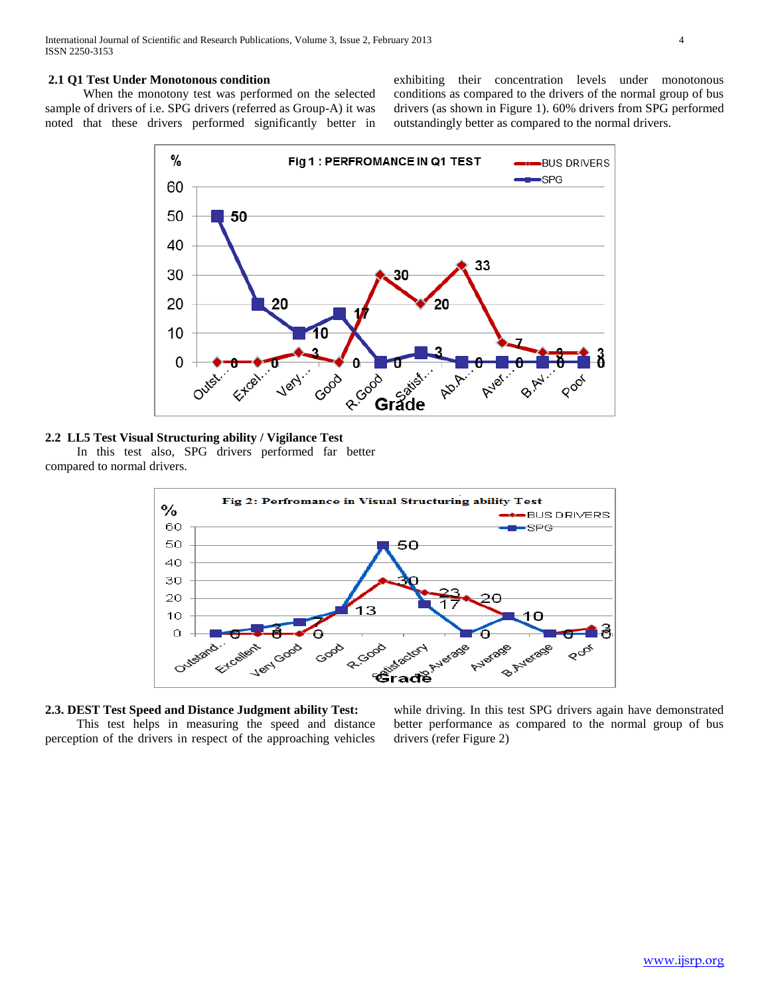## **2.1 Q1 Test Under Monotonous condition**

 When the monotony test was performed on the selected sample of drivers of i.e. SPG drivers (referred as Group-A) it was noted that these drivers performed significantly better in exhibiting their concentration levels under monotonous conditions as compared to the drivers of the normal group of bus drivers (as shown in Figure 1). 60% drivers from SPG performed outstandingly better as compared to the normal drivers.



**2.2 LL5 Test Visual Structuring ability / Vigilance Test**  In this test also, SPG drivers performed far better

compared to normal drivers.



**2.3. DEST Test Speed and Distance Judgment ability Test:** This test helps in measuring the speed and distance perception of the drivers in respect of the approaching vehicles

while driving. In this test SPG drivers again have demonstrated better performance as compared to the normal group of bus drivers (refer Figure 2)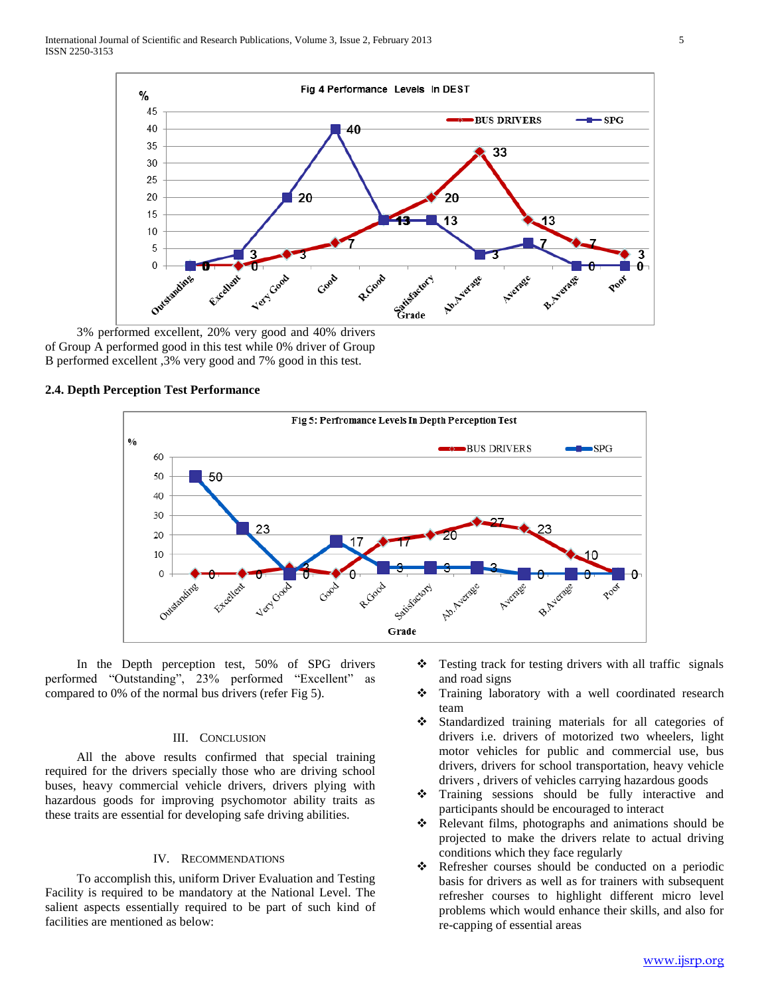

 3% performed excellent, 20% very good and 40% drivers of Group A performed good in this test while 0% driver of Group B performed excellent ,3% very good and 7% good in this test.

## **2.4. Depth Perception Test Performance**



 In the Depth perception test, 50% of SPG drivers performed "Outstanding", 23% performed "Excellent" as compared to 0% of the normal bus drivers (refer Fig 5).

#### III. CONCLUSION

 All the above results confirmed that special training required for the drivers specially those who are driving school buses, heavy commercial vehicle drivers, drivers plying with hazardous goods for improving psychomotor ability traits as these traits are essential for developing safe driving abilities.

#### IV. RECOMMENDATIONS

 To accomplish this, uniform Driver Evaluation and Testing Facility is required to be mandatory at the National Level. The salient aspects essentially required to be part of such kind of facilities are mentioned as below:

- Testing track for testing drivers with all traffic signals and road signs
- Training laboratory with a well coordinated research team
- Standardized training materials for all categories of drivers i.e. drivers of motorized two wheelers, light motor vehicles for public and commercial use, bus drivers, drivers for school transportation, heavy vehicle drivers , drivers of vehicles carrying hazardous goods
- Training sessions should be fully interactive and participants should be encouraged to interact
- \* Relevant films, photographs and animations should be projected to make the drivers relate to actual driving conditions which they face regularly
- Refresher courses should be conducted on a periodic basis for drivers as well as for trainers with subsequent refresher courses to highlight different micro level problems which would enhance their skills, and also for re-capping of essential areas